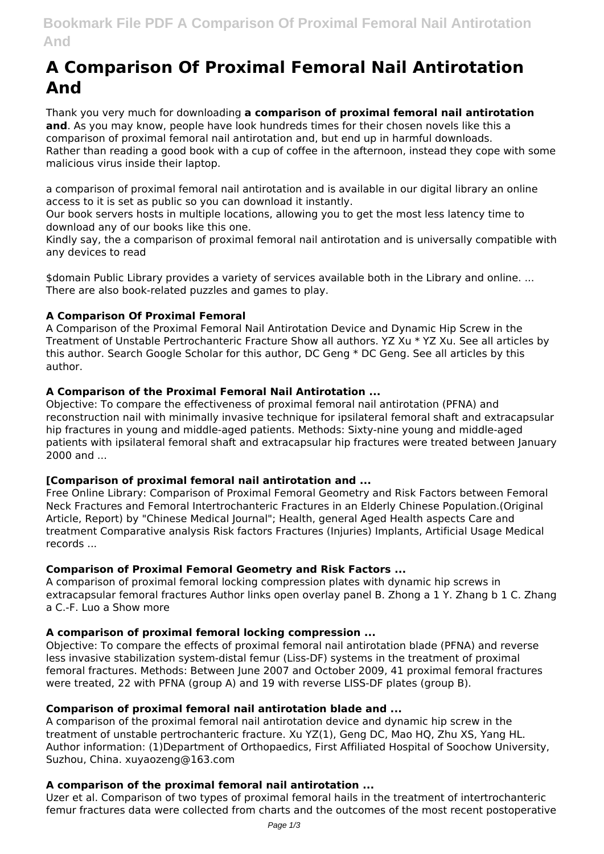# **A Comparison Of Proximal Femoral Nail Antirotation And**

Thank you very much for downloading **a comparison of proximal femoral nail antirotation and**. As you may know, people have look hundreds times for their chosen novels like this a comparison of proximal femoral nail antirotation and, but end up in harmful downloads. Rather than reading a good book with a cup of coffee in the afternoon, instead they cope with some malicious virus inside their laptop.

a comparison of proximal femoral nail antirotation and is available in our digital library an online access to it is set as public so you can download it instantly.

Our book servers hosts in multiple locations, allowing you to get the most less latency time to download any of our books like this one.

Kindly say, the a comparison of proximal femoral nail antirotation and is universally compatible with any devices to read

\$domain Public Library provides a variety of services available both in the Library and online. ... There are also book-related puzzles and games to play.

# **A Comparison Of Proximal Femoral**

A Comparison of the Proximal Femoral Nail Antirotation Device and Dynamic Hip Screw in the Treatment of Unstable Pertrochanteric Fracture Show all authors. YZ Xu \* YZ Xu. See all articles by this author. Search Google Scholar for this author, DC Geng \* DC Geng. See all articles by this author.

# **A Comparison of the Proximal Femoral Nail Antirotation ...**

Objective: To compare the effectiveness of proximal femoral nail antirotation (PFNA) and reconstruction nail with minimally invasive technique for ipsilateral femoral shaft and extracapsular hip fractures in young and middle-aged patients. Methods: Sixty-nine young and middle-aged patients with ipsilateral femoral shaft and extracapsular hip fractures were treated between January 2000 and ...

#### **[Comparison of proximal femoral nail antirotation and ...**

Free Online Library: Comparison of Proximal Femoral Geometry and Risk Factors between Femoral Neck Fractures and Femoral Intertrochanteric Fractures in an Elderly Chinese Population.(Original Article, Report) by "Chinese Medical Journal"; Health, general Aged Health aspects Care and treatment Comparative analysis Risk factors Fractures (Injuries) Implants, Artificial Usage Medical records ...

#### **Comparison of Proximal Femoral Geometry and Risk Factors ...**

A comparison of proximal femoral locking compression plates with dynamic hip screws in extracapsular femoral fractures Author links open overlay panel B. Zhong a 1 Y. Zhang b 1 C. Zhang a C.-F. Luo a Show more

# **A comparison of proximal femoral locking compression ...**

Objective: To compare the effects of proximal femoral nail antirotation blade (PFNA) and reverse less invasive stabilization system‐distal femur (Liss‐DF) systems in the treatment of proximal femoral fractures. Methods: Between June 2007 and October 2009, 41 proximal femoral fractures were treated, 22 with PFNA (group A) and 19 with reverse LISS-DF plates (group B).

# **Comparison of proximal femoral nail antirotation blade and ...**

A comparison of the proximal femoral nail antirotation device and dynamic hip screw in the treatment of unstable pertrochanteric fracture. Xu YZ(1), Geng DC, Mao HQ, Zhu XS, Yang HL. Author information: (1)Department of Orthopaedics, First Affiliated Hospital of Soochow University, Suzhou, China. xuyaozeng@163.com

#### **A comparison of the proximal femoral nail antirotation ...**

Uzer et al. Comparison of two types of proximal femoral hails in the treatment of intertrochanteric femur fractures data were collected from charts and the outcomes of the most recent postoperative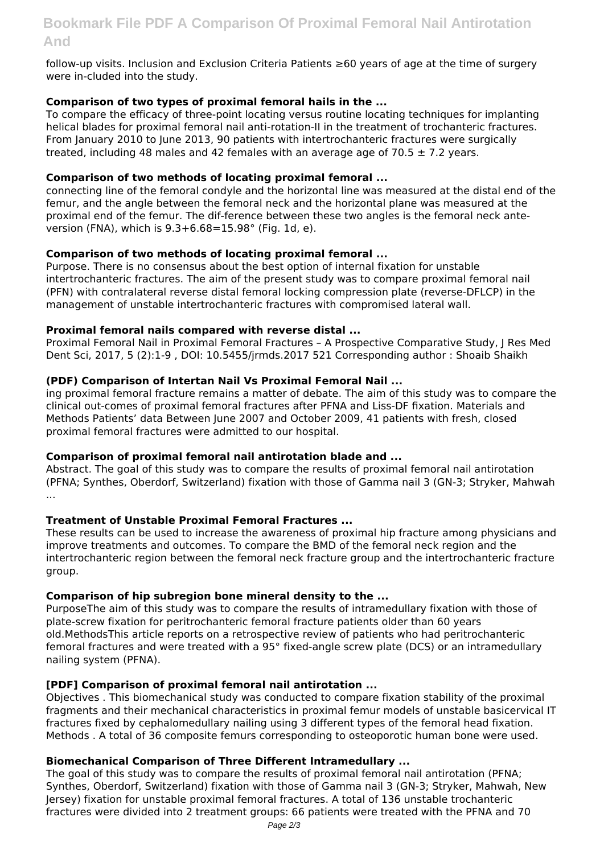# **Bookmark File PDF A Comparison Of Proximal Femoral Nail Antirotation And**

follow-up visits. Inclusion and Exclusion Criteria Patients ≥60 years of age at the time of surgery were in-cluded into the study.

#### **Comparison of two types of proximal femoral hails in the ...**

To compare the efficacy of three-point locating versus routine locating techniques for implanting helical blades for proximal femoral nail anti-rotation-II in the treatment of trochanteric fractures. From January 2010 to June 2013, 90 patients with intertrochanteric fractures were surgically treated, including 48 males and 42 females with an average age of 70.5  $\pm$  7.2 years.

#### **Comparison of two methods of locating proximal femoral ...**

connecting line of the femoral condyle and the horizontal line was measured at the distal end of the femur, and the angle between the femoral neck and the horizontal plane was measured at the proximal end of the femur. The dif-ference between these two angles is the femoral neck anteversion (FNA), which is 9.3+6.68=15.98° (Fig. 1d, e).

# **Comparison of two methods of locating proximal femoral ...**

Purpose. There is no consensus about the best option of internal fixation for unstable intertrochanteric fractures. The aim of the present study was to compare proximal femoral nail (PFN) with contralateral reverse distal femoral locking compression plate (reverse-DFLCP) in the management of unstable intertrochanteric fractures with compromised lateral wall.

#### **Proximal femoral nails compared with reverse distal ...**

Proximal Femoral Nail in Proximal Femoral Fractures – A Prospective Comparative Study, J Res Med Dent Sci, 2017, 5 (2):1-9 , DOI: 10.5455/jrmds.2017 521 Corresponding author : Shoaib Shaikh

# **(PDF) Comparison of Intertan Nail Vs Proximal Femoral Nail ...**

ing proximal femoral fracture remains a matter of debate. The aim of this study was to compare the clinical out-comes of proximal femoral fractures after PFNA and Liss-DF fixation. Materials and Methods Patients' data Between June 2007 and October 2009, 41 patients with fresh, closed proximal femoral fractures were admitted to our hospital.

#### **Comparison of proximal femoral nail antirotation blade and ...**

Abstract. The goal of this study was to compare the results of proximal femoral nail antirotation (PFNA; Synthes, Oberdorf, Switzerland) fixation with those of Gamma nail 3 (GN-3; Stryker, Mahwah ...

#### **Treatment of Unstable Proximal Femoral Fractures ...**

These results can be used to increase the awareness of proximal hip fracture among physicians and improve treatments and outcomes. To compare the BMD of the femoral neck region and the intertrochanteric region between the femoral neck fracture group and the intertrochanteric fracture group.

#### **Comparison of hip subregion bone mineral density to the ...**

PurposeThe aim of this study was to compare the results of intramedullary fixation with those of plate-screw fixation for peritrochanteric femoral fracture patients older than 60 years old.MethodsThis article reports on a retrospective review of patients who had peritrochanteric femoral fractures and were treated with a 95° fixed-angle screw plate (DCS) or an intramedullary nailing system (PFNA).

#### **[PDF] Comparison of proximal femoral nail antirotation ...**

Objectives . This biomechanical study was conducted to compare fixation stability of the proximal fragments and their mechanical characteristics in proximal femur models of unstable basicervical IT fractures fixed by cephalomedullary nailing using 3 different types of the femoral head fixation. Methods . A total of 36 composite femurs corresponding to osteoporotic human bone were used.

#### **Biomechanical Comparison of Three Different Intramedullary ...**

The goal of this study was to compare the results of proximal femoral nail antirotation (PFNA; Synthes, Oberdorf, Switzerland) fixation with those of Gamma nail 3 (GN-3; Stryker, Mahwah, New Jersey) fixation for unstable proximal femoral fractures. A total of 136 unstable trochanteric fractures were divided into 2 treatment groups: 66 patients were treated with the PFNA and 70